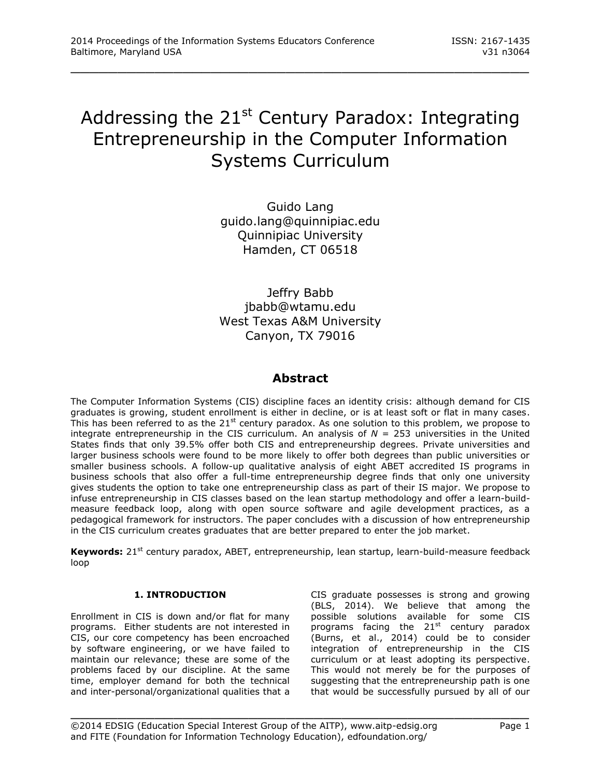# Addressing the  $21^{st}$  Century Paradox: Integrating Entrepreneurship in the Computer Information Systems Curriculum

\_\_\_\_\_\_\_\_\_\_\_\_\_\_\_\_\_\_\_\_\_\_\_\_\_\_\_\_\_\_\_\_\_\_\_\_\_\_\_\_\_\_\_\_\_\_\_\_\_

Guido Lang guido.lang@quinnipiac.edu Quinnipiac University Hamden, CT 06518

Jeffry Babb jbabb@wtamu.edu West Texas A&M University Canyon, TX 79016

### **Abstract**

The Computer Information Systems (CIS) discipline faces an identity crisis: although demand for CIS graduates is growing, student enrollment is either in decline, or is at least soft or flat in many cases. This has been referred to as the 21<sup>st</sup> century paradox. As one solution to this problem, we propose to integrate entrepreneurship in the CIS curriculum. An analysis of *N* = 253 universities in the United States finds that only 39.5% offer both CIS and entrepreneurship degrees. Private universities and larger business schools were found to be more likely to offer both degrees than public universities or smaller business schools. A follow-up qualitative analysis of eight ABET accredited IS programs in business schools that also offer a full-time entrepreneurship degree finds that only one university gives students the option to take one entrepreneurship class as part of their IS major. We propose to infuse entrepreneurship in CIS classes based on the lean startup methodology and offer a learn-buildmeasure feedback loop, along with open source software and agile development practices, as a pedagogical framework for instructors. The paper concludes with a discussion of how entrepreneurship in the CIS curriculum creates graduates that are better prepared to enter the job market.

**Keywords:** 21<sup>st</sup> century paradox, ABET, entrepreneurship, lean startup, learn-build-measure feedback loop

\_\_\_\_\_\_\_\_\_\_\_\_\_\_\_\_\_\_\_\_\_\_\_\_\_\_\_\_\_\_\_\_\_\_\_\_\_\_\_\_\_\_\_\_\_\_\_\_\_

#### **1. INTRODUCTION**

Enrollment in CIS is down and/or flat for many programs. Either students are not interested in CIS, our core competency has been encroached by software engineering, or we have failed to maintain our relevance; these are some of the problems faced by our discipline. At the same time, employer demand for both the technical and inter-personal/organizational qualities that a CIS graduate possesses is strong and growing (BLS, 2014). We believe that among the possible solutions available for some CIS programs facing the 21<sup>st</sup> century paradox (Burns, et al., 2014) could be to consider integration of entrepreneurship in the CIS curriculum or at least adopting its perspective. This would not merely be for the purposes of suggesting that the entrepreneurship path is one that would be successfully pursued by all of our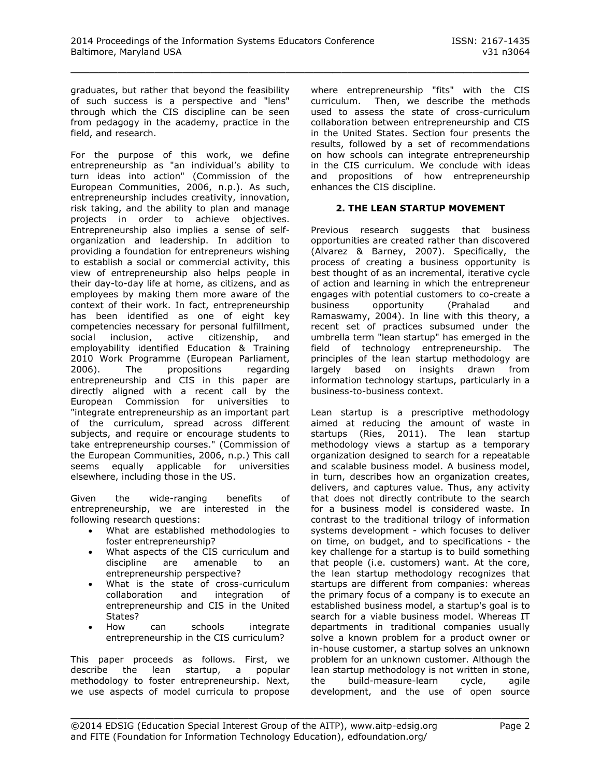graduates, but rather that beyond the feasibility of such success is a perspective and "lens" through which the CIS discipline can be seen from pedagogy in the academy, practice in the field, and research.

For the purpose of this work, we define entrepreneurship as "an individual's ability to turn ideas into action" (Commission of the European Communities, 2006, n.p.). As such, entrepreneurship includes creativity, innovation, risk taking, and the ability to plan and manage projects in order to achieve objectives. Entrepreneurship also implies a sense of selforganization and leadership. In addition to providing a foundation for entrepreneurs wishing to establish a social or commercial activity, this view of entrepreneurship also helps people in their day-to-day life at home, as citizens, and as employees by making them more aware of the context of their work. In fact, entrepreneurship has been identified as one of eight key competencies necessary for personal fulfillment, social inclusion, active citizenship, and employability identified Education & Training 2010 Work Programme (European Parliament, 2006). The propositions regarding entrepreneurship and CIS in this paper are directly aligned with a recent call by the European Commission for universities to "integrate entrepreneurship as an important part of the curriculum, spread across different subjects, and require or encourage students to take entrepreneurship courses." (Commission of the European Communities, 2006, n.p.) This call seems equally applicable for universities elsewhere, including those in the US.

Given the wide-ranging benefits of entrepreneurship, we are interested in the following research questions:

- What are established methodologies to foster entrepreneurship?
- What aspects of the CIS curriculum and discipline are amenable to an entrepreneurship perspective?
- What is the state of cross-curriculum collaboration and integration of entrepreneurship and CIS in the United States?
- How can schools integrate entrepreneurship in the CIS curriculum?

This paper proceeds as follows. First, we describe the lean startup, a popular methodology to foster entrepreneurship. Next, we use aspects of model curricula to propose where entrepreneurship "fits" with the CIS curriculum. Then, we describe the methods used to assess the state of cross-curriculum collaboration between entrepreneurship and CIS in the United States. Section four presents the results, followed by a set of recommendations on how schools can integrate entrepreneurship in the CIS curriculum. We conclude with ideas and propositions of how entrepreneurship enhances the CIS discipline.

#### **2. THE LEAN STARTUP MOVEMENT**

Previous research suggests that business opportunities are created rather than discovered (Alvarez & Barney, 2007). Specifically, the process of creating a business opportunity is best thought of as an incremental, iterative cycle of action and learning in which the entrepreneur engages with potential customers to co-create a business opportunity (Prahalad and Ramaswamy, 2004). In line with this theory, a recent set of practices subsumed under the umbrella term "lean startup" has emerged in the field of technology entrepreneurship. The principles of the lean startup methodology are largely based on insights drawn from information technology startups, particularly in a business-to-business context.

Lean startup is a prescriptive methodology aimed at reducing the amount of waste in startups (Ries, 2011). The lean startup methodology views a startup as a temporary organization designed to search for a repeatable and scalable business model. A business model, in turn, describes how an organization creates, delivers, and captures value. Thus, any activity that does not directly contribute to the search for a business model is considered waste. In contrast to the traditional trilogy of information systems development - which focuses to deliver on time, on budget, and to specifications - the key challenge for a startup is to build something that people (i.e. customers) want. At the core, the lean startup methodology recognizes that startups are different from companies: whereas the primary focus of a company is to execute an established business model, a startup's goal is to search for a viable business model. Whereas IT departments in traditional companies usually solve a known problem for a product owner or in-house customer, a startup solves an unknown problem for an unknown customer. Although the lean startup methodology is not written in stone, the build-measure-learn cycle, agile development, and the use of open source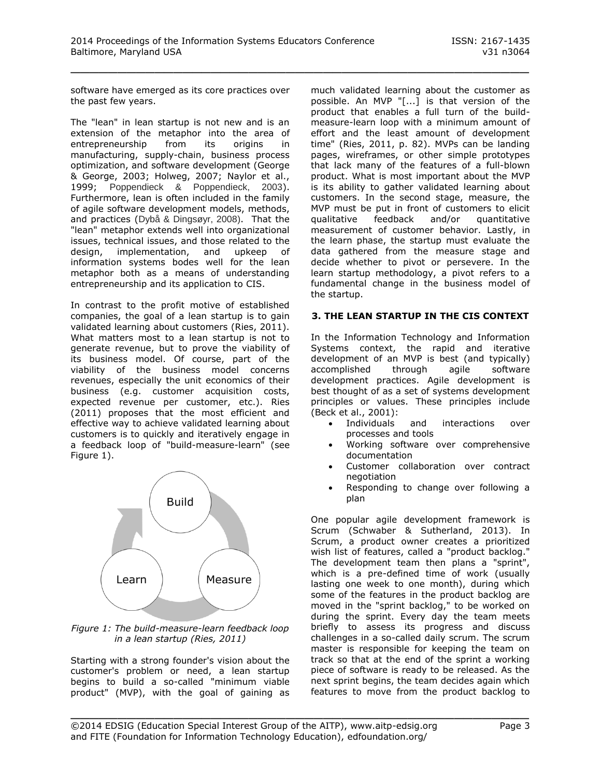software have emerged as its core practices over the past few years.

The "lean" in lean startup is not new and is an extension of the metaphor into the area of entrepreneurship from its origins in manufacturing, supply-chain, business process optimization, and software development (George & George, 2003; Holweg, 2007; Naylor et al., 1999; Poppendieck & Poppendieck, 2003). Furthermore, lean is often included in the family of agile software development models, methods, and practices (Dybå & Dingsøyr, 2008). That the "lean" metaphor extends well into organizational issues, technical issues, and those related to the design, implementation, and upkeep of information systems bodes well for the lean metaphor both as a means of understanding entrepreneurship and its application to CIS.

In contrast to the profit motive of established companies, the goal of a lean startup is to gain validated learning about customers (Ries, 2011). What matters most to a lean startup is not to generate revenue, but to prove the viability of its business model. Of course, part of the viability of the business model concerns revenues, especially the unit economics of their business (e.g. customer acquisition costs, expected revenue per customer, etc.). Ries (2011) proposes that the most efficient and effective way to achieve validated learning about customers is to quickly and iteratively engage in a feedback loop of "build-measure-learn" (see Figure 1).



*Figure 1: The build-measure-learn feedback loop in a lean startup (Ries, 2011)*

Starting with a strong founder's vision about the customer's problem or need, a lean startup begins to build a so-called "minimum viable product" (MVP), with the goal of gaining as

much validated learning about the customer as possible. An MVP "[...] is that version of the product that enables a full turn of the buildmeasure-learn loop with a minimum amount of effort and the least amount of development time" (Ries, 2011, p. 82). MVPs can be landing pages, wireframes, or other simple prototypes that lack many of the features of a full-blown product. What is most important about the MVP is its ability to gather validated learning about customers. In the second stage, measure, the MVP must be put in front of customers to elicit qualitative feedback and/or quantitative measurement of customer behavior. Lastly, in the learn phase, the startup must evaluate the data gathered from the measure stage and decide whether to pivot or persevere. In the learn startup methodology, a pivot refers to a fundamental change in the business model of the startup.

#### **3. THE LEAN STARTUP IN THE CIS CONTEXT**

In the Information Technology and Information Systems context, the rapid and iterative development of an MVP is best (and typically) accomplished through agile software development practices. Agile development is best thought of as a set of systems development principles or values. These principles include (Beck et al., 2001):

- Individuals and interactions over processes and tools
- Working software over comprehensive documentation
- Customer collaboration over contract negotiation
- Responding to change over following a plan

One popular agile development framework is Scrum (Schwaber & Sutherland, 2013). In Scrum, a product owner creates a prioritized wish list of features, called a "product backlog." The development team then plans a "sprint", which is a pre-defined time of work (usually lasting one week to one month), during which some of the features in the product backlog are moved in the "sprint backlog," to be worked on during the sprint. Every day the team meets briefly to assess its progress and discuss challenges in a so-called daily scrum. The scrum master is responsible for keeping the team on track so that at the end of the sprint a working piece of software is ready to be released. As the next sprint begins, the team decides again which features to move from the product backlog to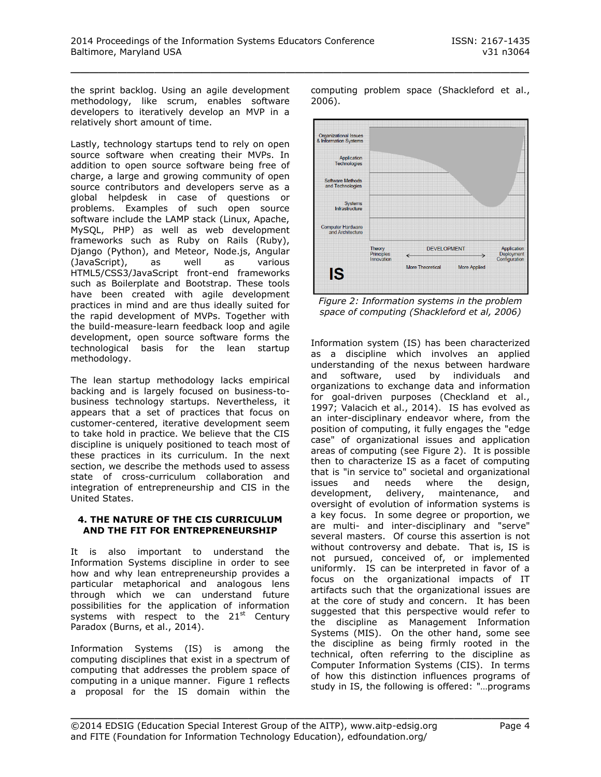the sprint backlog. Using an agile development methodology, like scrum, enables software developers to iteratively develop an MVP in a relatively short amount of time.

Lastly, technology startups tend to rely on open source software when creating their MVPs. In addition to open source software being free of charge, a large and growing community of open source contributors and developers serve as a global helpdesk in case of questions or problems. Examples of such open source software include the LAMP stack (Linux, Apache, MySQL, PHP) as well as web development frameworks such as Ruby on Rails (Ruby), Django (Python), and Meteor, Node.js, Angular (JavaScript), as well as various HTML5/CSS3/JavaScript front-end frameworks such as Boilerplate and Bootstrap. These tools have been created with agile development practices in mind and are thus ideally suited for the rapid development of MVPs. Together with the build-measure-learn feedback loop and agile development, open source software forms the technological basis for the lean startup methodology.

The lean startup methodology lacks empirical backing and is largely focused on business-tobusiness technology startups. Nevertheless, it appears that a set of practices that focus on customer-centered, iterative development seem to take hold in practice. We believe that the CIS discipline is uniquely positioned to teach most of these practices in its curriculum. In the next section, we describe the methods used to assess state of cross-curriculum collaboration and integration of entrepreneurship and CIS in the United States.

#### **4. THE NATURE OF THE CIS CURRICULUM AND THE FIT FOR ENTREPRENEURSHIP**

It is also important to understand the Information Systems discipline in order to see how and why lean entrepreneurship provides a particular metaphorical and analogous lens through which we can understand future possibilities for the application of information systems with respect to the 21<sup>st</sup> Century Paradox (Burns, et al., 2014).

Information Systems (IS) is among the computing disciplines that exist in a spectrum of computing that addresses the problem space of computing in a unique manner. Figure 1 reflects a proposal for the IS domain within the

computing problem space (Shackleford et al., 2006).



*Figure 2: Information systems in the problem space of computing (Shackleford et al, 2006)*

Information system (IS) has been characterized as a discipline which involves an applied understanding of the nexus between hardware and software, used by individuals and organizations to exchange data and information for goal-driven purposes (Checkland et al., 1997; Valacich et al., 2014). IS has evolved as an inter-disciplinary endeavor where, from the position of computing, it fully engages the "edge case" of organizational issues and application areas of computing (see Figure 2). It is possible then to characterize IS as a facet of computing that is "in service to" societal and organizational issues and needs where the design,<br>development, delivery, maintenance, and development, delivery, maintenance, and oversight of evolution of information systems is a key focus. In some degree or proportion, we are multi- and inter-disciplinary and "serve" several masters. Of course this assertion is not without controversy and debate. That is, IS is not pursued, conceived of, or implemented uniformly. IS can be interpreted in favor of a focus on the organizational impacts of IT artifacts such that the organizational issues are at the core of study and concern. It has been suggested that this perspective would refer to the discipline as Management Information Systems (MIS). On the other hand, some see the discipline as being firmly rooted in the technical, often referring to the discipline as Computer Information Systems (CIS). In terms of how this distinction influences programs of study in IS, the following is offered: "…programs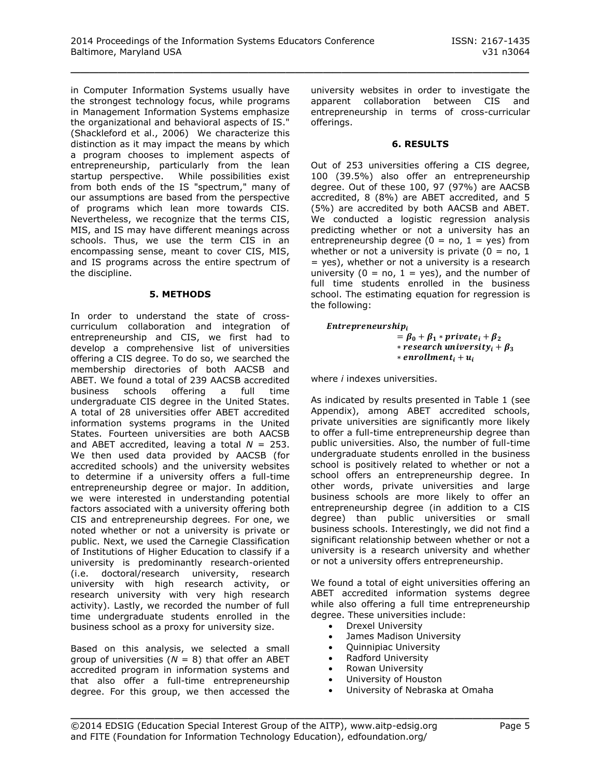in Computer Information Systems usually have the strongest technology focus, while programs in Management Information Systems emphasize the organizational and behavioral aspects of IS." (Shackleford et al., 2006) We characterize this distinction as it may impact the means by which a program chooses to implement aspects of entrepreneurship, particularly from the lean startup perspective. While possibilities exist from both ends of the IS "spectrum," many of our assumptions are based from the perspective of programs which lean more towards CIS. Nevertheless, we recognize that the terms CIS, MIS, and IS may have different meanings across schools. Thus, we use the term CIS in an encompassing sense, meant to cover CIS, MIS, and IS programs across the entire spectrum of the discipline.

#### **5. METHODS**

In order to understand the state of crosscurriculum collaboration and integration of entrepreneurship and CIS, we first had to develop a comprehensive list of universities offering a CIS degree. To do so, we searched the membership directories of both AACSB and ABET. We found a total of 239 AACSB accredited business schools offering a full time undergraduate CIS degree in the United States. A total of 28 universities offer ABET accredited information systems programs in the United States. Fourteen universities are both AACSB and ABET accredited, leaving a total *N* = 253. We then used data provided by AACSB (for accredited schools) and the university websites to determine if a university offers a full-time entrepreneurship degree or major. In addition, we were interested in understanding potential factors associated with a university offering both CIS and entrepreneurship degrees. For one, we noted whether or not a university is private or public. Next, we used the Carnegie Classification of Institutions of Higher Education to classify if a university is predominantly research-oriented (i.e. doctoral/research university, research university with high research activity, or research university with very high research activity). Lastly, we recorded the number of full time undergraduate students enrolled in the business school as a proxy for university size.

Based on this analysis, we selected a small group of universities  $(N = 8)$  that offer an ABET accredited program in information systems and that also offer a full-time entrepreneurship degree. For this group, we then accessed the

university websites in order to investigate the apparent collaboration between CIS and entrepreneurship in terms of cross-curricular offerings.

#### **6. RESULTS**

Out of 253 universities offering a CIS degree, 100 (39.5%) also offer an entrepreneurship degree. Out of these 100, 97 (97%) are AACSB accredited, 8 (8%) are ABET accredited, and 5 (5%) are accredited by both AACSB and ABET. We conducted a logistic regression analysis predicting whether or not a university has an entrepreneurship degree  $(0 = no, 1 = yes)$  from whether or not a university is private  $(0 = no, 1)$  $=$  yes), whether or not a university is a research university ( $0 = \text{no}$ ,  $1 = \text{yes}$ ), and the number of full time students enrolled in the business school. The estimating equation for regression is the following:

#### $\emph{Enter}$

 $= \beta_0 + \beta_1 * private_i + \beta_2$ *\** research university,  $\theta$  +  $\beta$  +  $\theta$  +  $\theta$  +  $\theta$  +  $\theta$  +  $\theta$  +  $\theta$  +  $\theta$  +  $\theta$  +  $\theta$  +  $\theta$  +  $\theta$  +  $\theta$  +  $\theta$  +  $\theta$  +  $\theta$  +  $\theta$  +  $\theta$  +  $\theta$  +  $\theta$  +  $\theta$  +  $\theta$  +  $\theta$  +  $\theta$  +  $\theta$  +  $\theta$  +  $\theta$  + \* enrollment<sub>i</sub> +  $u_i$ 

where *i* indexes universities.

As indicated by results presented in Table 1 (see Appendix), among ABET accredited schools, private universities are significantly more likely to offer a full-time entrepreneurship degree than public universities. Also, the number of full-time undergraduate students enrolled in the business school is positively related to whether or not a school offers an entrepreneurship degree. In other words, private universities and large business schools are more likely to offer an entrepreneurship degree (in addition to a CIS degree) than public universities or small business schools. Interestingly, we did not find a significant relationship between whether or not a university is a research university and whether or not a university offers entrepreneurship.

We found a total of eight universities offering an ABET accredited information systems degree while also offering a full time entrepreneurship degree. These universities include:

- Drexel University
- James Madison University
- Quinnipiac University<br>• Radford University
- Radford University
- Rowan University
- University of Houston
- University of Nebraska at Omaha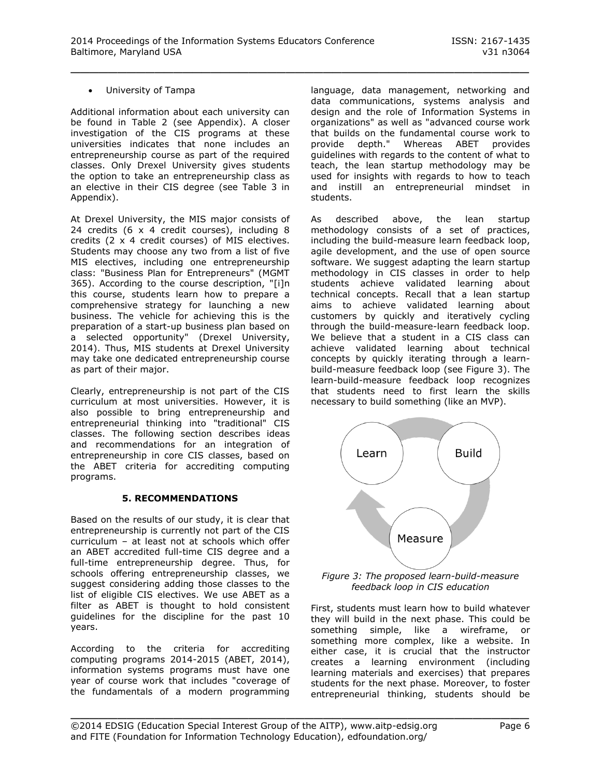#### University of Tampa

Additional information about each university can be found in Table 2 (see Appendix). A closer investigation of the CIS programs at these universities indicates that none includes an entrepreneurship course as part of the required classes. Only Drexel University gives students the option to take an entrepreneurship class as an elective in their CIS degree (see Table 3 in Appendix).

At Drexel University, the MIS major consists of 24 credits (6 x 4 credit courses), including 8 credits (2 x 4 credit courses) of MIS electives. Students may choose any two from a list of five MIS electives, including one entrepreneurship class: "Business Plan for Entrepreneurs" (MGMT 365). According to the course description, "[i]n this course, students learn how to prepare a comprehensive strategy for launching a new business. The vehicle for achieving this is the preparation of a start-up business plan based on a selected opportunity" (Drexel University, 2014). Thus, MIS students at Drexel University may take one dedicated entrepreneurship course as part of their major.

Clearly, entrepreneurship is not part of the CIS curriculum at most universities. However, it is also possible to bring entrepreneurship and entrepreneurial thinking into "traditional" CIS classes. The following section describes ideas and recommendations for an integration of entrepreneurship in core CIS classes, based on the ABET criteria for accrediting computing programs.

#### **5. RECOMMENDATIONS**

Based on the results of our study, it is clear that entrepreneurship is currently not part of the CIS curriculum – at least not at schools which offer an ABET accredited full-time CIS degree and a full-time entrepreneurship degree. Thus, for schools offering entrepreneurship classes, we suggest considering adding those classes to the list of eligible CIS electives. We use ABET as a filter as ABET is thought to hold consistent guidelines for the discipline for the past 10 years.

According to the criteria for accrediting computing programs 2014-2015 (ABET, 2014), information systems programs must have one year of course work that includes "coverage of the fundamentals of a modern programming

language, data management, networking and data communications, systems analysis and design and the role of Information Systems in organizations" as well as "advanced course work that builds on the fundamental course work to provide depth." Whereas ABET provides guidelines with regards to the content of what to teach, the lean startup methodology may be used for insights with regards to how to teach and instill an entrepreneurial mindset in students.

As described above, the lean startup methodology consists of a set of practices, including the build-measure learn feedback loop, agile development, and the use of open source software. We suggest adapting the learn startup methodology in CIS classes in order to help students achieve validated learning about technical concepts. Recall that a lean startup aims to achieve validated learning about customers by quickly and iteratively cycling through the build-measure-learn feedback loop. We believe that a student in a CIS class can achieve validated learning about technical concepts by quickly iterating through a learnbuild-measure feedback loop (see Figure 3). The learn-build-measure feedback loop recognizes that students need to first learn the skills necessary to build something (like an MVP).



*Figure 3: The proposed learn-build-measure feedback loop in CIS education*

First, students must learn how to build whatever they will build in the next phase. This could be something simple, like a wireframe, or something more complex, like a website. In either case, it is crucial that the instructor creates a learning environment (including learning materials and exercises) that prepares students for the next phase. Moreover, to foster entrepreneurial thinking, students should be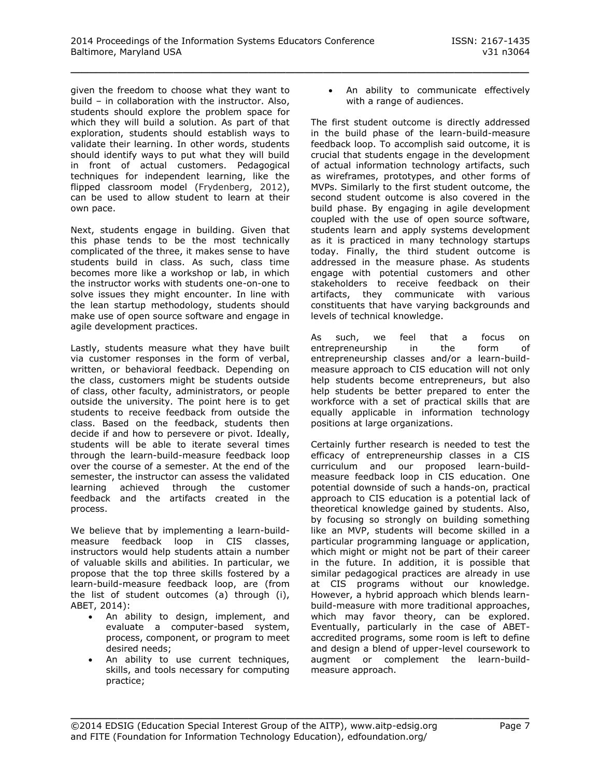given the freedom to choose what they want to build – in collaboration with the instructor. Also, students should explore the problem space for which they will build a solution. As part of that exploration, students should establish ways to validate their learning. In other words, students should identify ways to put what they will build in front of actual customers. Pedagogical techniques for independent learning, like the flipped classroom model (Frydenberg, 2012), can be used to allow student to learn at their own pace.

Next, students engage in building. Given that this phase tends to be the most technically complicated of the three, it makes sense to have students build in class. As such, class time becomes more like a workshop or lab, in which the instructor works with students one-on-one to solve issues they might encounter. In line with the lean startup methodology, students should make use of open source software and engage in agile development practices.

Lastly, students measure what they have built via customer responses in the form of verbal, written, or behavioral feedback. Depending on the class, customers might be students outside of class, other faculty, administrators, or people outside the university. The point here is to get students to receive feedback from outside the class. Based on the feedback, students then decide if and how to persevere or pivot. Ideally, students will be able to iterate several times through the learn-build-measure feedback loop over the course of a semester. At the end of the semester, the instructor can assess the validated learning achieved through the customer feedback and the artifacts created in the process.

We believe that by implementing a learn-buildmeasure feedback loop in CIS classes, instructors would help students attain a number of valuable skills and abilities. In particular, we propose that the top three skills fostered by a learn-build-measure feedback loop, are (from the list of student outcomes (a) through (i), ABET, 2014):

- An ability to design, implement, and evaluate a computer-based system, process, component, or program to meet desired needs;
- An ability to use current techniques, skills, and tools necessary for computing practice;

 An ability to communicate effectively with a range of audiences.

The first student outcome is directly addressed in the build phase of the learn-build-measure feedback loop. To accomplish said outcome, it is crucial that students engage in the development of actual information technology artifacts, such as wireframes, prototypes, and other forms of MVPs. Similarly to the first student outcome, the second student outcome is also covered in the build phase. By engaging in agile development coupled with the use of open source software, students learn and apply systems development as it is practiced in many technology startups today. Finally, the third student outcome is addressed in the measure phase. As students engage with potential customers and other stakeholders to receive feedback on their artifacts, they communicate with various constituents that have varying backgrounds and levels of technical knowledge.

As such, we feel that a focus on entrepreneurship in the form of entrepreneurship classes and/or a learn-buildmeasure approach to CIS education will not only help students become entrepreneurs, but also help students be better prepared to enter the workforce with a set of practical skills that are equally applicable in information technology positions at large organizations.

Certainly further research is needed to test the efficacy of entrepreneurship classes in a CIS curriculum and our proposed learn-buildmeasure feedback loop in CIS education. One potential downside of such a hands-on, practical approach to CIS education is a potential lack of theoretical knowledge gained by students. Also, by focusing so strongly on building something like an MVP, students will become skilled in a particular programming language or application, which might or might not be part of their career in the future. In addition, it is possible that similar pedagogical practices are already in use at CIS programs without our knowledge. However, a hybrid approach which blends learnbuild-measure with more traditional approaches, which may favor theory, can be explored. Eventually, particularly in the case of ABETaccredited programs, some room is left to define and design a blend of upper-level coursework to augment or complement the learn-buildmeasure approach.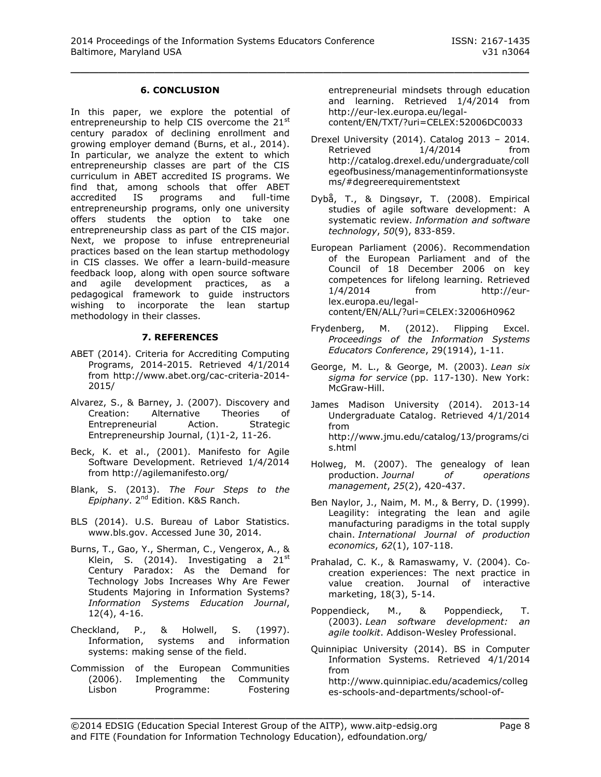#### **6. CONCLUSION**

In this paper, we explore the potential of entrepreneurship to help CIS overcome the 21<sup>st</sup> century paradox of declining enrollment and growing employer demand (Burns, et al., 2014). In particular, we analyze the extent to which entrepreneurship classes are part of the CIS curriculum in ABET accredited IS programs. We find that, among schools that offer ABET<br>accredited IS programs and full-time accredited IS programs and full-time entrepreneurship programs, only one university offers students the option to take one entrepreneurship class as part of the CIS major. Next, we propose to infuse entrepreneurial practices based on the lean startup methodology in CIS classes. We offer a learn-build-measure feedback loop, along with open source software and agile development practices, as a pedagogical framework to guide instructors wishing to incorporate the lean startup methodology in their classes.

#### **7. REFERENCES**

- ABET (2014). Criteria for Accrediting Computing Programs, 2014-2015. Retrieved 4/1/2014 from [http://www.abet.org/cac-criteria-2014-](http://www.abet.org/cac-criteria-2014-2015/) [2015/](http://www.abet.org/cac-criteria-2014-2015/)
- Alvarez, S., & Barney, J. (2007). Discovery and Creation: Alternative Theories of Entrepreneurial Action. Strategic Entrepreneurship Journal, (1)1-2, 11-26.
- Beck, K. et al., (2001). Manifesto for Agile Software Development. Retrieved 1/4/2014 from<http://agilemanifesto.org/>
- Blank, S. (2013). *The Four Steps to the Epiphany*. 2nd Edition. K&S Ranch.
- BLS (2014). U.S. Bureau of Labor Statistics. www.bls.gov. Accessed June 30, 2014.
- Burns, T., Gao, Y., Sherman, C., Vengerox, A., & Klein, S. (2014). Investigating a  $21^{st}$ Century Paradox: As the Demand for Technology Jobs Increases Why Are Fewer Students Majoring in Information Systems? *Information Systems Education Journal*, 12(4), 4-16.
- Checkland, P., & Holwell, S. (1997). Information, systems and information systems: making sense of the field.
- Commission of the European Communities (2006). Implementing the Community Lisbon Programme: Fostering

entrepreneurial mindsets through education and learning. Retrieved 1/4/2014 from [http://eur-lex.europa.eu/legal](http://eur-lex.europa.eu/legal-content/EN/TXT/?uri=CELEX:52006DC0033)[content/EN/TXT/?uri=CELEX:52006DC0033](http://eur-lex.europa.eu/legal-content/EN/TXT/?uri=CELEX:52006DC0033) 

- Drexel University (2014). Catalog 2013 2014. Retrieved 1/4/2014 from [http://catalog.drexel.edu/undergraduate/coll](http://catalog.drexel.edu/undergraduate/collegeofbusiness/managementinformationsystems/#degreerequirementstext) [egeofbusiness/managementinformationsyste](http://catalog.drexel.edu/undergraduate/collegeofbusiness/managementinformationsystems/#degreerequirementstext) [ms/#degreerequirementstext](http://catalog.drexel.edu/undergraduate/collegeofbusiness/managementinformationsystems/#degreerequirementstext)
- Dybå, T., & Dingsøyr, T. (2008). Empirical studies of agile software development: A systematic review. *Information and software technology*, *50*(9), 833-859.
- European Parliament (2006). Recommendation of the European Parliament and of the Council of 18 December 2006 on key competences for lifelong learning. Retrieved 1/4/2014 from [http://eur](http://eur-lex.europa.eu/legal-content/EN/ALL/?uri=CELEX:32006H0962)[lex.europa.eu/legal](http://eur-lex.europa.eu/legal-content/EN/ALL/?uri=CELEX:32006H0962)[content/EN/ALL/?uri=CELEX:32006H0962](http://eur-lex.europa.eu/legal-content/EN/ALL/?uri=CELEX:32006H0962)
- Frydenberg, M. (2012). Flipping Excel. *Proceedings of the Information Systems Educators Conference*, 29(1914), 1-11.
- George, M. L., & George, M. (2003). *Lean six sigma for service* (pp. 117-130). New York: McGraw-Hill.
- James Madison University (2014). 2013-14 Undergraduate Catalog. Retrieved 4/1/2014 from [http://www.jmu.edu/catalog/13/programs/ci](http://www.jmu.edu/catalog/13/programs/cis.html) [s.html](http://www.jmu.edu/catalog/13/programs/cis.html)
- Holweg, M. (2007). The genealogy of lean<br>production. Journal of operations production. *Journal of operations management*, *25*(2), 420-437.
- Ben Naylor, J., Naim, M. M., & Berry, D. (1999). Leagility: integrating the lean and agile manufacturing paradigms in the total supply chain. *International Journal of production economics*, *62*(1), 107-118.
- Prahalad, C. K., & Ramaswamy, V. (2004). Co‐ creation experiences: The next practice in value creation. Journal of interactive marketing, 18(3), 5-14.
- Poppendieck, M., & Poppendieck, T. (2003). *Lean software development: an agile toolkit*. Addison-Wesley Professional.
- Quinnipiac University (2014). BS in Computer Information Systems. Retrieved 4/1/2014 from [http://www.quinnipiac.edu/academics/colleg](http://www.quinnipiac.edu/academics/colleges-schools-and-departments/school-of-business-and-engineering/departments-and-faculty/department-of-computer-information-systems/bs-in-computer-information-systems-and-minors/) [es-schools-and-departments/school-of-](http://www.quinnipiac.edu/academics/colleges-schools-and-departments/school-of-business-and-engineering/departments-and-faculty/department-of-computer-information-systems/bs-in-computer-information-systems-and-minors/)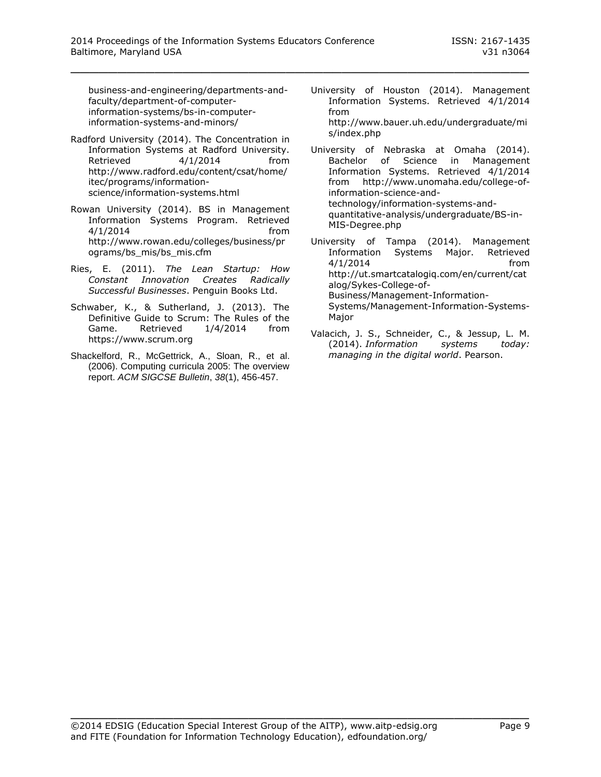[business-and-engineering/departments-and](http://www.quinnipiac.edu/academics/colleges-schools-and-departments/school-of-business-and-engineering/departments-and-faculty/department-of-computer-information-systems/bs-in-computer-information-systems-and-minors/)[faculty/department-of-computer](http://www.quinnipiac.edu/academics/colleges-schools-and-departments/school-of-business-and-engineering/departments-and-faculty/department-of-computer-information-systems/bs-in-computer-information-systems-and-minors/)[information-systems/bs-in-computer](http://www.quinnipiac.edu/academics/colleges-schools-and-departments/school-of-business-and-engineering/departments-and-faculty/department-of-computer-information-systems/bs-in-computer-information-systems-and-minors/)[information-systems-and-minors/](http://www.quinnipiac.edu/academics/colleges-schools-and-departments/school-of-business-and-engineering/departments-and-faculty/department-of-computer-information-systems/bs-in-computer-information-systems-and-minors/)

- Radford University (2014). The Concentration in Information Systems at Radford University. Retrieved 4/1/2014 from [http://www.radford.edu/content/csat/home/](http://www.radford.edu/content/csat/home/itec/programs/information-science/information-systems.html) [itec/programs/information](http://www.radford.edu/content/csat/home/itec/programs/information-science/information-systems.html)[science/information-systems.html](http://www.radford.edu/content/csat/home/itec/programs/information-science/information-systems.html)
- Rowan University (2014). BS in Management Information Systems Program. Retrieved 4/1/2014 from [http://www.rowan.edu/colleges/business/pr](http://www.rowan.edu/colleges/business/programs/bs_mis/bs_mis.cfm) [ograms/bs\\_mis/bs\\_mis.cfm](http://www.rowan.edu/colleges/business/programs/bs_mis/bs_mis.cfm)
- Ries, E. (2011). *The Lean Startup: How Constant Innovation Creates Radically Successful Businesses*. Penguin Books Ltd.
- Schwaber, K., & Sutherland, J. (2013). The Definitive Guide to Scrum: The Rules of the Game. Retrieved 1/4/2014 from [https://www.scrum.org](https://www.scrum.org/)
- Shackelford, R., McGettrick, A., Sloan, R., et al. (2006). Computing curricula 2005: The overview report. *ACM SIGCSE Bulletin*, *38*(1), 456-457.
- University of Houston (2014). Management Information Systems. Retrieved 4/1/2014 from [http://www.bauer.uh.edu/undergraduate/mi](http://www.bauer.uh.edu/undergraduate/mis/index.php) [s/index.php](http://www.bauer.uh.edu/undergraduate/mis/index.php)
- University of Nebraska at Omaha (2014). Bachelor of Science in Management Information Systems. Retrieved 4/1/2014 from [http://www.unomaha.edu/college-of](http://www.unomaha.edu/college-of-information-science-and-technology/information-systems-and-quantitative-analysis/undergraduate/BS-in-MIS-Degree.php)[information-science-and](http://www.unomaha.edu/college-of-information-science-and-technology/information-systems-and-quantitative-analysis/undergraduate/BS-in-MIS-Degree.php)[technology/information-systems-and](http://www.unomaha.edu/college-of-information-science-and-technology/information-systems-and-quantitative-analysis/undergraduate/BS-in-MIS-Degree.php)[quantitative-analysis/undergraduate/BS-in-](http://www.unomaha.edu/college-of-information-science-and-technology/information-systems-and-quantitative-analysis/undergraduate/BS-in-MIS-Degree.php)[MIS-Degree.php](http://www.unomaha.edu/college-of-information-science-and-technology/information-systems-and-quantitative-analysis/undergraduate/BS-in-MIS-Degree.php)
- University of Tampa (2014). Management Information Systems Major. Retrieved 4/1/2014 from [http://ut.smartcatalogiq.com/en/current/cat](http://ut.smartcatalogiq.com/en/current/catalog/Sykes-College-of-Business/Management-Information-Systems/Management-Information-Systems-Major) [alog/Sykes-College-of-](http://ut.smartcatalogiq.com/en/current/catalog/Sykes-College-of-Business/Management-Information-Systems/Management-Information-Systems-Major)[Business/Management-Information-](http://ut.smartcatalogiq.com/en/current/catalog/Sykes-College-of-Business/Management-Information-Systems/Management-Information-Systems-Major)[Systems/Management-Information-Systems-](http://ut.smartcatalogiq.com/en/current/catalog/Sykes-College-of-Business/Management-Information-Systems/Management-Information-Systems-Major)[Major](http://ut.smartcatalogiq.com/en/current/catalog/Sykes-College-of-Business/Management-Information-Systems/Management-Information-Systems-Major)
- Valacich, J. S., Schneider, C., & Jessup, L. M. (2014). *Information systems today: managing in the digital world*. Pearson.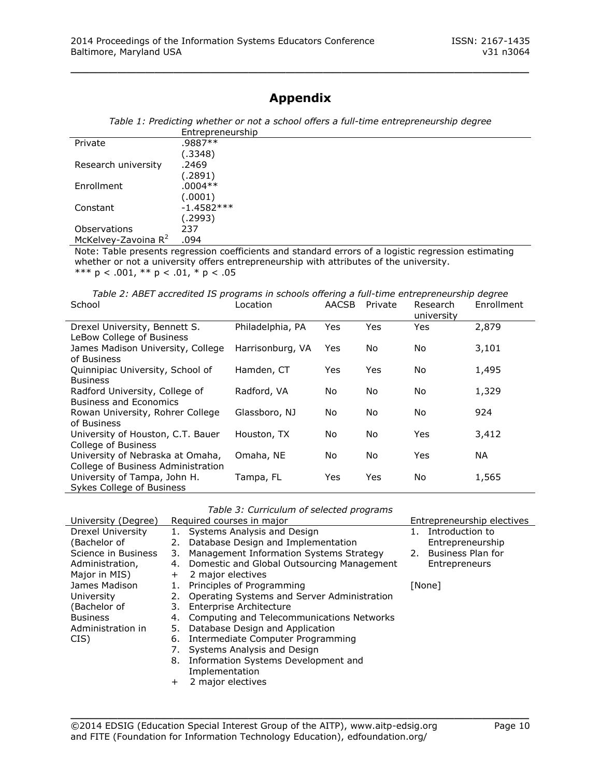## **Appendix**

\_\_\_\_\_\_\_\_\_\_\_\_\_\_\_\_\_\_\_\_\_\_\_\_\_\_\_\_\_\_\_\_\_\_\_\_\_\_\_\_\_\_\_\_\_\_\_\_\_

| Table 1: Predicting whether or not a school offers a full-time entrepreneurship degree |  |
|----------------------------------------------------------------------------------------|--|
| Entrepreneurship                                                                       |  |

| Private                         | .9887**                                                                                              |
|---------------------------------|------------------------------------------------------------------------------------------------------|
|                                 | (.3348)                                                                                              |
| Research university             | .2469                                                                                                |
|                                 | (.2891)                                                                                              |
| Enrollment                      | $.0004**$                                                                                            |
|                                 | (.0001)                                                                                              |
| Constant                        | $-1.4582***$                                                                                         |
|                                 | (2993).                                                                                              |
| Observations                    | 237                                                                                                  |
| McKelvey-Zavoina R <sup>2</sup> | .094                                                                                                 |
|                                 | Note: Table presents regression seefficients and standard errors of a legistic regression estimating |

Note: Table presents regression coefficients and standard errors of a logistic regression estimating whether or not a university offers entrepreneurship with attributes of the university. \*\*\*  $p < .001$ , \*\*  $p < .01$ , \*  $p < .05$ 

*Table 2: ABET accredited IS programs in schools offering a full-time entrepreneurship degree* School Location AACSB Private Enrollment

|                                                                |                  |     |     | university |       |
|----------------------------------------------------------------|------------------|-----|-----|------------|-------|
| Drexel University, Bennett S.                                  | Philadelphia, PA | Yes | Yes | Yes        | 2,879 |
| LeBow College of Business<br>James Madison University, College | Harrisonburg, VA | Yes | No  |            | 3,101 |
| of Business                                                    |                  |     |     | No         |       |
| Quinnipiac University, School of                               | Hamden, CT       | Yes | Yes | No.        | 1,495 |
| <b>Business</b>                                                |                  |     |     |            |       |
| Radford University, College of                                 | Radford, VA      | No  | No  | No.        | 1,329 |
| <b>Business and Economics</b>                                  |                  |     |     |            |       |
| Rowan University, Rohrer College                               | Glassboro, NJ    | No. | No  | No.        | 924   |
| of Business                                                    |                  |     |     |            |       |
| University of Houston, C.T. Bauer                              | Houston, TX      | No. | No  | Yes        | 3,412 |
| College of Business                                            |                  |     |     |            |       |
| University of Nebraska at Omaha,                               | Omaha, NE        | No. | No  | Yes        | NA.   |
| College of Business Administration                             |                  |     |     |            |       |
| University of Tampa, John H.                                   | Tampa, FL        | Yes | Yes | No.        | 1,565 |
| Sykes College of Business                                      |                  |     |     |            |       |

|  | Table 3: Curriculum of selected programs |  |  |
|--|------------------------------------------|--|--|
|  |                                          |  |  |

| University (Degree) | Required courses in major      |                                                |  | Entrepreneurship electives |  |  |
|---------------------|--------------------------------|------------------------------------------------|--|----------------------------|--|--|
| Drexel University   | 1. Systems Analysis and Design |                                                |  | Introduction to            |  |  |
| (Bachelor of        |                                | Database Design and Implementation             |  | Entrepreneurship           |  |  |
| Science in Business | 3.                             | Management Information Systems Strategy        |  | 2. Business Plan for       |  |  |
| Administration,     | 4.                             | Domestic and Global Outsourcing Management     |  | Entrepreneurs              |  |  |
| Major in MIS)       | $+$                            | 2 major electives                              |  |                            |  |  |
| James Madison       |                                | Principles of Programming                      |  | [None]                     |  |  |
| University          |                                | 2. Operating Systems and Server Administration |  |                            |  |  |
| (Bachelor of        |                                | 3. Enterprise Architecture                     |  |                            |  |  |
| <b>Business</b>     | 4.                             | Computing and Telecommunications Networks      |  |                            |  |  |
| Administration in   | 5.                             | Database Design and Application                |  |                            |  |  |
| CIS)                | 6.                             | Intermediate Computer Programming              |  |                            |  |  |
|                     |                                | Systems Analysis and Design                    |  |                            |  |  |
|                     | 8.                             | Information Systems Development and            |  |                            |  |  |
|                     |                                | Implementation                                 |  |                            |  |  |

+ 2 major electives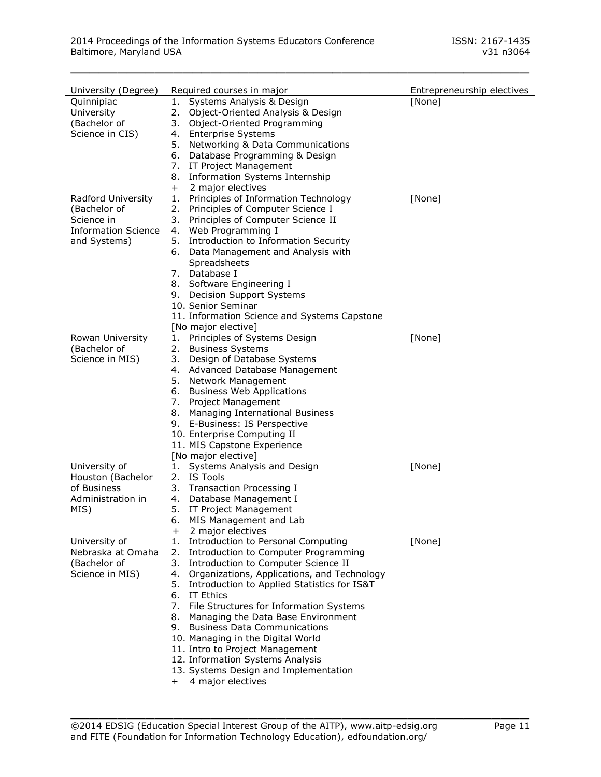| University (Degree)                                                                            | Required courses in major                                                                                                                                                                                                                                                                                                                                                                                                                                                                                                                                              | Entrepreneurship electives |
|------------------------------------------------------------------------------------------------|------------------------------------------------------------------------------------------------------------------------------------------------------------------------------------------------------------------------------------------------------------------------------------------------------------------------------------------------------------------------------------------------------------------------------------------------------------------------------------------------------------------------------------------------------------------------|----------------------------|
| Quinnipiac<br>University<br>(Bachelor of<br>Science in CIS)                                    | Systems Analysis & Design<br>1.<br>2.<br>Object-Oriented Analysis & Design<br>Object-Oriented Programming<br>3.<br>4. Enterprise Systems<br>5. Networking & Data Communications<br>6. Database Programming & Design<br>7. IT Project Management                                                                                                                                                                                                                                                                                                                        | [None]                     |
| Radford University<br>(Bachelor of<br>Science in<br><b>Information Science</b><br>and Systems) | <b>Information Systems Internship</b><br>8.<br>2 major electives<br>$\mathrm{+}$<br>Principles of Information Technology<br>1.<br>Principles of Computer Science I<br>2.<br>Principles of Computer Science II<br>3.<br>Web Programming I<br>4.<br>Introduction to Information Security<br>5.<br>6. Data Management and Analysis with<br>Spreadsheets<br>7. Database I                                                                                                                                                                                                  | [None]                     |
| Rowan University<br>(Bachelor of                                                               | 8. Software Engineering I<br>9. Decision Support Systems<br>10. Senior Seminar<br>11. Information Science and Systems Capstone<br>[No major elective]<br>1. Principles of Systems Design<br><b>Business Systems</b><br>2.                                                                                                                                                                                                                                                                                                                                              | [None]                     |
| Science in MIS)                                                                                | Design of Database Systems<br>3.<br>4. Advanced Database Management<br>5. Network Management<br>6. Business Web Applications<br>7. Project Management<br>Managing International Business<br>8.<br>9. E-Business: IS Perspective<br>10. Enterprise Computing II<br>11. MIS Capstone Experience<br>[No major elective]                                                                                                                                                                                                                                                   |                            |
| University of<br>Houston (Bachelor<br>of Business<br>Administration in<br>MIS)                 | 1. Systems Analysis and Design<br>2. IS Tools<br>3. Transaction Processing I<br>4. Database Management I<br>5. IT Project Management<br>6. MIS Management and Lab<br>2 major electives<br>$+$                                                                                                                                                                                                                                                                                                                                                                          | [None]                     |
| University of<br>Nebraska at Omaha<br>(Bachelor of<br>Science in MIS)                          | Introduction to Personal Computing<br>1.<br>Introduction to Computer Programming<br>2.<br>3.<br>Introduction to Computer Science II<br>4. Organizations, Applications, and Technology<br>5. Introduction to Applied Statistics for IS&T<br>6. IT Ethics<br>7. File Structures for Information Systems<br>8.<br>Managing the Data Base Environment<br>9. Business Data Communications<br>10. Managing in the Digital World<br>11. Intro to Project Management<br>12. Information Systems Analysis<br>13. Systems Design and Implementation<br>4 major electives<br>$^+$ | [None]                     |